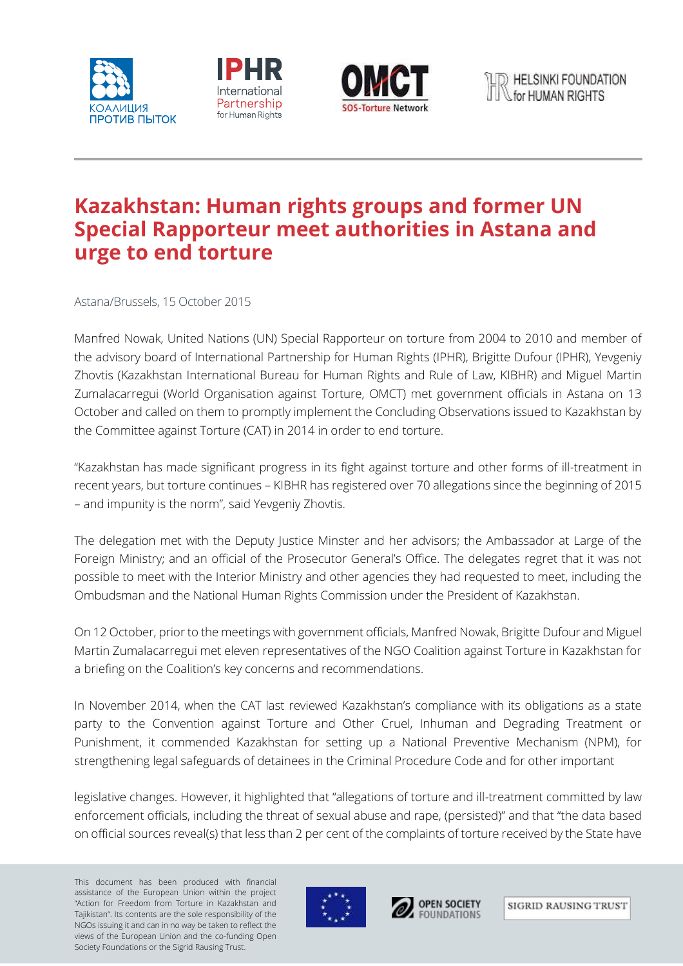





## **Kazakhstan: Human rights groups and former UN Special Rapporteur meet authorities in Astana and urge to end torture**

Astana/Brussels, 15 October 2015

Manfred Nowak, United Nations (UN) Special Rapporteur on torture from 2004 to 2010 and member of the advisory board of International Partnership for Human Rights (IPHR), Brigitte Dufour (IPHR), Yevgeniy Zhovtis (Kazakhstan International Bureau for Human Rights and Rule of Law, KIBHR) and Miguel Martin Zumalacarregui (World Organisation against Torture, OMCT) met government officials in Astana on 13 October and called on them to promptly implement the Concluding Observations issued to Kazakhstan by the Committee against Torture (CAT) in 2014 in order to end torture.

"Kazakhstan has made significant progress in its fight against torture and other forms of ill-treatment in recent years, but torture continues – KIBHR has registered over 70 allegations since the beginning of 2015 – and impunity is the norm", said Yevgeniy Zhovtis.

The delegation met with the Deputy Justice Minster and her advisors; the Ambassador at Large of the Foreign Ministry; and an official of the Prosecutor General's Office. The delegates regret that it was not possible to meet with the Interior Ministry and other agencies they had requested to meet, including the Ombudsman and the National Human Rights Commission under the President of Kazakhstan.

On 12 October, prior to the meetings with government officials, Manfred Nowak, Brigitte Dufour and Miguel Martin Zumalacarregui met eleven representatives of the NGO Coalition against Torture in Kazakhstan for a briefing on the Coalition's key concerns and recommendations.

In November 2014, when the CAT last reviewed Kazakhstan's compliance with its obligations as a state party to the Convention against Torture and Other Cruel, Inhuman and Degrading Treatment or Punishment, it commended Kazakhstan for setting up a National Preventive Mechanism (NPM), for strengthening legal safeguards of detainees in the Criminal Procedure Code and for other important

legislative changes. However, it highlighted that "allegations of torture and ill-treatment committed by law enforcement officials, including the threat of sexual abuse and rape, (persisted)" and that "the data based on official sources reveal(s) that less than 2 per cent of the complaints of torture received by the State have

This document has been produced with financial assistance of the European Union within the project "Action for Freedom from Torture in Kazakhstan and Tajikistan". Its contents are the sole responsibility of the NGOs issuing it and can in no way be taken to reflect the views of the European Union and the co-funding Open Society Foundations or the Sigrid Rausing Trust.





SIGRID RAUSING TRUST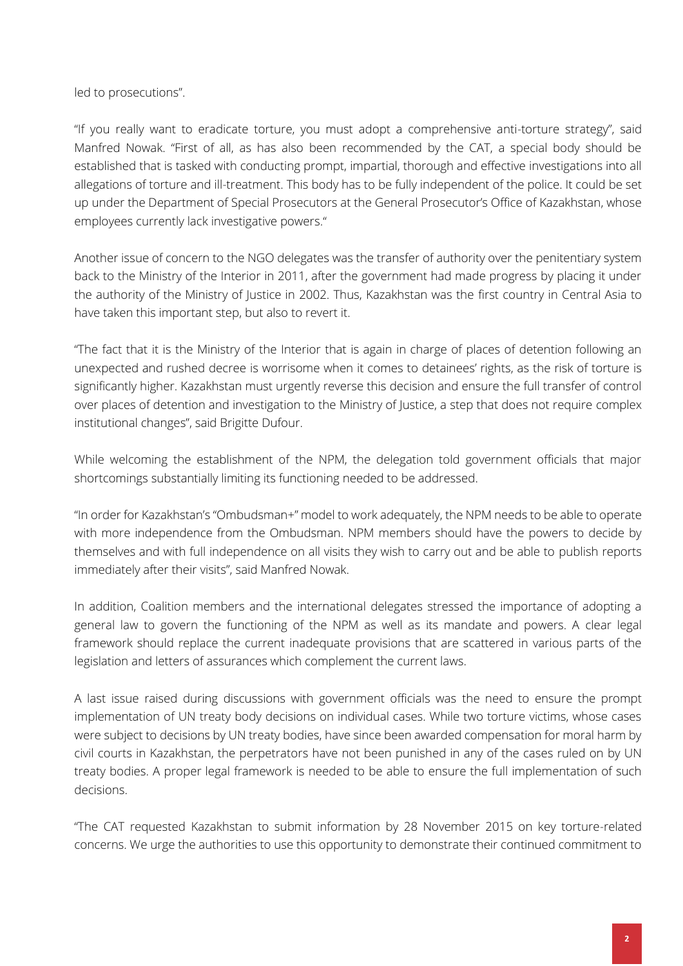led to prosecutions".

"If you really want to eradicate torture, you must adopt a comprehensive anti-torture strategy", said Manfred Nowak. "First of all, as has also been recommended by the CAT, a special body should be established that is tasked with conducting prompt, impartial, thorough and effective investigations into all allegations of torture and ill-treatment. This body has to be fully independent of the police. It could be set up under the Department of Special Prosecutors at the General Prosecutor's Office of Kazakhstan, whose employees currently lack investigative powers."

Another issue of concern to the NGO delegates was the transfer of authority over the penitentiary system back to the Ministry of the Interior in 2011, after the government had made progress by placing it under the authority of the Ministry of Justice in 2002. Thus, Kazakhstan was the first country in Central Asia to have taken this important step, but also to revert it.

"The fact that it is the Ministry of the Interior that is again in charge of places of detention following an unexpected and rushed decree is worrisome when it comes to detainees' rights, as the risk of torture is significantly higher. Kazakhstan must urgently reverse this decision and ensure the full transfer of control over places of detention and investigation to the Ministry of Justice, a step that does not require complex institutional changes", said Brigitte Dufour.

While welcoming the establishment of the NPM, the delegation told government officials that major shortcomings substantially limiting its functioning needed to be addressed.

"In order for Kazakhstan's "Ombudsman+" model to work adequately, the NPM needs to be able to operate with more independence from the Ombudsman. NPM members should have the powers to decide by themselves and with full independence on all visits they wish to carry out and be able to publish reports immediately after their visits", said Manfred Nowak.

In addition, Coalition members and the international delegates stressed the importance of adopting a general law to govern the functioning of the NPM as well as its mandate and powers. A clear legal framework should replace the current inadequate provisions that are scattered in various parts of the legislation and letters of assurances which complement the current laws.

A last issue raised during discussions with government officials was the need to ensure the prompt implementation of UN treaty body decisions on individual cases. While two torture victims, whose cases were subject to decisions by UN treaty bodies, have since been awarded compensation for moral harm by civil courts in Kazakhstan, the perpetrators have not been punished in any of the cases ruled on by UN treaty bodies. A proper legal framework is needed to be able to ensure the full implementation of such decisions.

"The CAT requested Kazakhstan to submit information by 28 November 2015 on key torture-related concerns. We urge the authorities to use this opportunity to demonstrate their continued commitment to